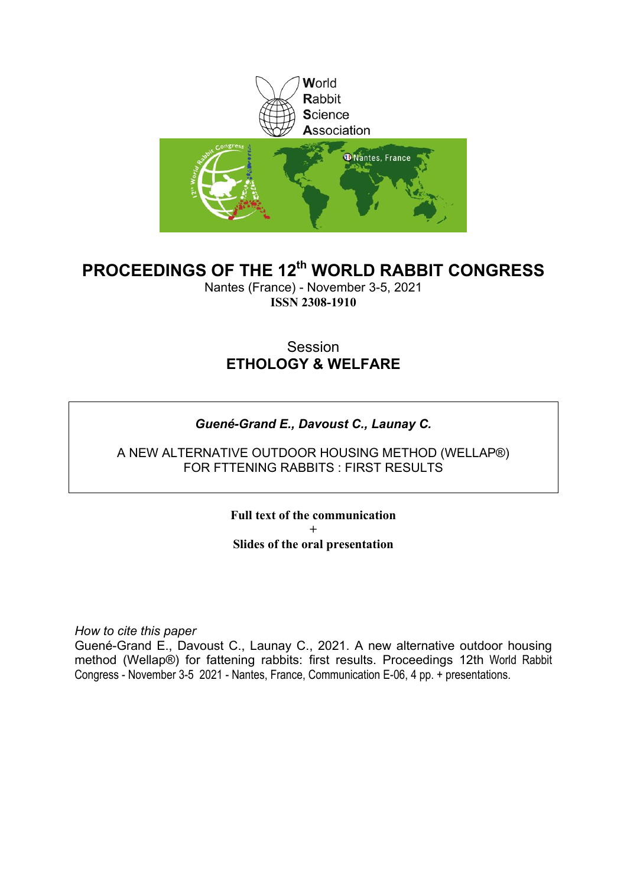

# **PROCEEDINGS OF THE 12th WORLD RABBIT CONGRESS**

Nantes (France) - November 3-5, 2021 **ISSN 2308-1910**

# Session **ETHOLOGY & WELFARE**

## *Guené-Grand E., Davoust C., Launay C.*

A NEW ALTERNATIVE OUTDOOR HOUSING METHOD (WELLAP®) FOR FTTENING RABBITS : FIRST RESULTS

> **Full text of the communication + Slides of the oral presentation**

*How to cite this paper*

Guené-Grand E., Davoust C., Launay C., 2021. A new alternative outdoor housing method (Wellap®) for fattening rabbits: first results. Proceedings 12th World Rabbit Congress - November 3-5 2021 - Nantes, France, Communication E-06, 4 pp. + presentations.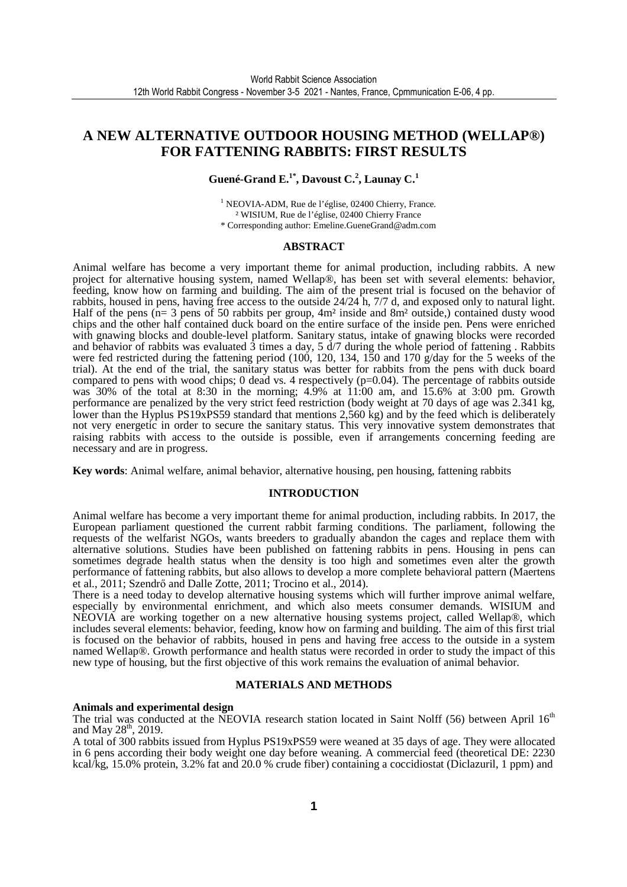### **A NEW ALTERNATIVE OUTDOOR HOUSING METHOD (WELLAP®) FOR FATTENING RABBITS: FIRST RESULTS**

### **Guené-Grand E.1\*, Davoust C.<sup>2</sup> , Launay C.<sup>1</sup>**

<sup>1</sup> NEOVIA-ADM, Rue de l'église, 02400 Chierry, France. ² WISIUM, Rue de l'église, 02400 Chierry France \* Corresponding author: Emeline.GueneGrand@adm.com

#### **ABSTRACT**

Animal welfare has become a very important theme for animal production, including rabbits. A new project for alternative housing system, named Wellap®, has been set with several elements: behavior, feeding, know how on farming and building. The aim of the present trial is focused on the behavior of rabbits, housed in pens, having free access to the outside 24/24 h, 7/7 d, and exposed only to natural light. Half of the pens (n= 3 pens of 50 rabbits per group, 4m² inside and 8m² outside,) contained dusty wood chips and the other half contained duck board on the entire surface of the inside pen. Pens were enriched with gnawing blocks and double-level platform. Sanitary status, intake of gnawing blocks were recorded and behavior of rabbits was evaluated  $\hat{3}$  times a day,  $5 \frac{d}{7}$  during the whole period of fattening . Rabbits were fed restricted during the fattening period (100, 120, 134, 150 and 170 g/day for the 5 weeks of the trial). At the end of the trial, the sanitary status was better for rabbits from the pens with duck board compared to pens with wood chips; 0 dead vs. 4 respectively  $(p=0.04)$ . The percentage of rabbits outside was 30% of the total at 8:30 in the morning; 4.9% at 11:00 am, and 15.6% at 3:00 pm. Growth performance are penalized by the very strict feed restriction (body weight at 70 days of age was 2.341 kg, lower than the Hyplus PS19xPS59 standard that mentions 2,560 kg) and by the feed which is deliberately not very energetic in order to secure the sanitary status. This very innovative system demonstrates that raising rabbits with access to the outside is possible, even if arrangements concerning feeding are necessary and are in progress.

**Key words**: Animal welfare, animal behavior, alternative housing, pen housing, fattening rabbits

#### **INTRODUCTION**

Animal welfare has become a very important theme for animal production, including rabbits. In 2017, the European parliament questioned the current rabbit farming conditions. The parliament, following the requests of the welfarist NGOs, wants breeders to gradually abandon the cages and replace them with alternative solutions. Studies have been published on fattening rabbits in pens. Housing in pens can sometimes degrade health status when the density is too high and sometimes even alter the growth performance of fattening rabbits, but also allows to develop a more complete behavioral pattern (Maertens et al., 2011; Szendrő and Dalle Zotte, 2011; Trocino et al., 2014).

There is a need today to develop alternative housing systems which will further improve animal welfare, especially by environmental enrichment, and which also meets consumer demands. WISIUM and NEOVIA are working together on a new alternative housing systems project, called Wellap®, which includes several elements: behavior, feeding, know how on farming and building. The aim of this first trial is focused on the behavior of rabbits, housed in pens and having free access to the outside in a system named Wellap®. Growth performance and health status were recorded in order to study the impact of this new type of housing, but the first objective of this work remains the evaluation of animal behavior.

#### **MATERIALS AND METHODS**

#### **Animals and experimental design**

The trial was conducted at the NEOVIA research station located in Saint Nolff (56) between April 16<sup>th</sup> and May  $28^{\text{th}}$ , 2019.

A total of 300 rabbits issued from Hyplus PS19xPS59 were weaned at 35 days of age. They were allocated in 6 pens according their body weight one day before weaning. A commercial feed (theoretical DE: 2230 kcal/kg, 15.0% protein, 3.2% fat and 20.0 % crude fiber) containing a coccidiostat (Diclazuril, 1 ppm) and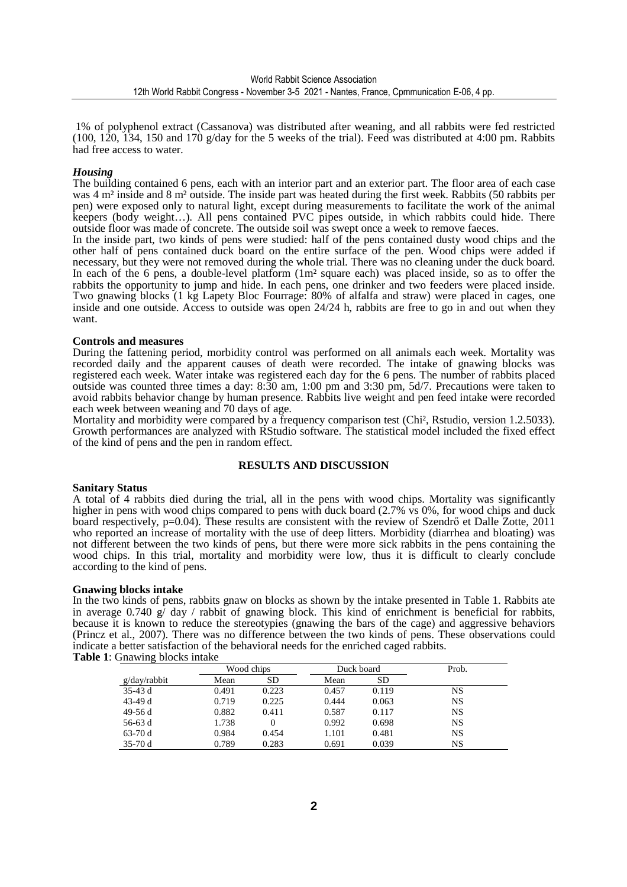1% of polyphenol extract (Cassanova) was distributed after weaning, and all rabbits were fed restricted  $(100, 120, 134, 150, \text{and } 170, \text{g/day}$  for the 5 weeks of the trial). Feed was distributed at 4:00 pm. Rabbits had free access to water.

#### *Housing*

The building contained 6 pens, each with an interior part and an exterior part. The floor area of each case was 4 m<sup>2</sup> inside and 8 m<sup>2</sup> outside. The inside part was heated during the first week. Rabbits (50 rabbits per pen) were exposed only to natural light, except during measurements to facilitate the work of the animal keepers (body weight…). All pens contained PVC pipes outside, in which rabbits could hide. There outside floor was made of concrete. The outside soil was swept once a week to remove faeces.

In the inside part, two kinds of pens were studied: half of the pens contained dusty wood chips and the other half of pens contained duck board on the entire surface of the pen. Wood chips were added if necessary, but they were not removed during the whole trial. There was no cleaning under the duck board. In each of the 6 pens, a double-level platform  $(1m^2)$  square each) was placed inside, so as to offer the rabbits the opportunity to jump and hide. In each pens, one drinker and two feeders were placed inside. Two gnawing blocks (1 kg Lapety Bloc Fourrage: 80% of alfalfa and straw) were placed in cages, one inside and one outside. Access to outside was open 24/24 h, rabbits are free to go in and out when they want.

#### **Controls and measures**

During the fattening period, morbidity control was performed on all animals each week. Mortality was recorded daily and the apparent causes of death were recorded. The intake of gnawing blocks was registered each week. Water intake was registered each day for the 6 pens. The number of rabbits placed outside was counted three times a day: 8:30 am, 1:00 pm and 3:30 pm, 5d/7. Precautions were taken to avoid rabbits behavior change by human presence. Rabbits live weight and pen feed intake were recorded each week between weaning and 70 days of age.

Mortality and morbidity were compared by a frequency comparison test (Chi², Rstudio, version 1.2.5033). Growth performances are analyzed with RStudio software. The statistical model included the fixed effect of the kind of pens and the pen in random effect.

#### **RESULTS AND DISCUSSION**

#### **Sanitary Status**

A total of 4 rabbits died during the trial, all in the pens with wood chips. Mortality was significantly higher in pens with wood chips compared to pens with duck board (2.7% vs 0%, for wood chips and duck board respectively, p=0.04). These results are consistent with the review of Szendrő et Dalle Zotte, 2011 who reported an increase of mortality with the use of deep litters. Morbidity (diarrhea and bloating) was not different between the two kinds of pens, but there were more sick rabbits in the pens containing the wood chips. In this trial, mortality and morbidity were low, thus it is difficult to clearly conclude according to the kind of pens.

#### **Gnawing blocks intake**

In the two kinds of pens, rabbits gnaw on blocks as shown by the intake presented in Table 1. Rabbits ate in average 0.740 g/ day / rabbit of gnawing block. This kind of enrichment is beneficial for rabbits, because it is known to reduce the stereotypies (gnawing the bars of the cage) and aggressive behaviors (Princz et al., 2007). There was no difference between the two kinds of pens. These observations could indicate a better satisfaction of the behavioral needs for the enriched caged rabbits. **Table 1**: Gnawing blocks intake

|              | Wood chips |           | Duck board |           | Prob.     |  |
|--------------|------------|-----------|------------|-----------|-----------|--|
| g/day/rabbit | Mean       | <b>SD</b> | Mean       | <b>SD</b> |           |  |
| $35-43d$     | 0.491      | 0.223     | 0.457      | 0.119     | NS        |  |
| 43-49 d      | 0.719      | 0.225     | 0.444      | 0.063     | NS        |  |
| 49-56 d      | 0.882      | 0.411     | 0.587      | 0.117     | NS        |  |
| 56-63 d      | 1.738      | $\theta$  | 0.992      | 0.698     | <b>NS</b> |  |
| $63-70d$     | 0.984      | 0.454     | 1.101      | 0.481     | <b>NS</b> |  |
| $35-70d$     | 0.789      | 0.283     | 0.691      | 0.039     | NS        |  |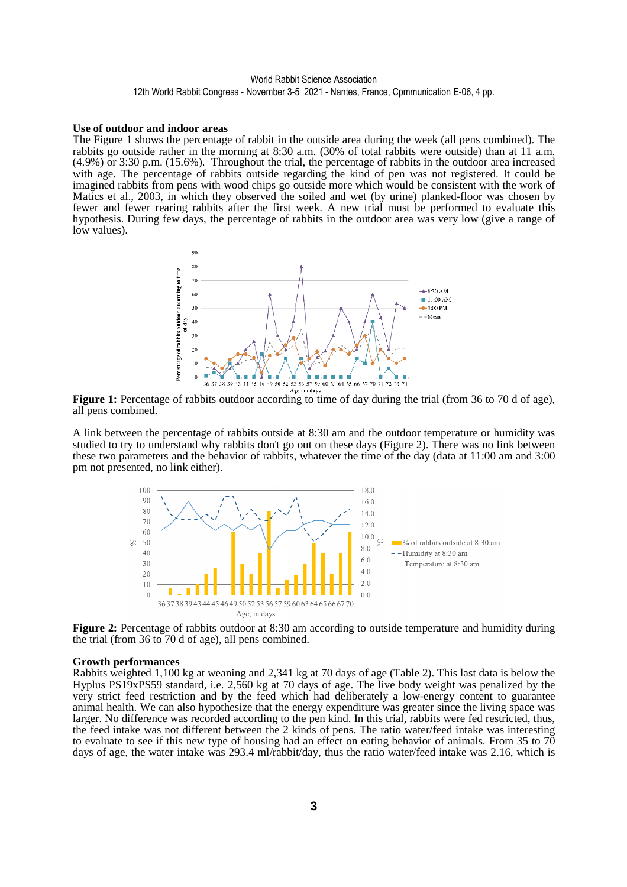#### **Use of outdoor and indoor areas**

The Figure 1 shows the percentage of rabbit in the outside area during the week (all pens combined). The rabbits go outside rather in the morning at 8:30 a.m. (30% of total rabbits were outside) than at 11 a.m. (4.9%) or 3:30 p.m. (15.6%). Throughout the trial, the percentage of rabbits in the outdoor area increased with age. The percentage of rabbits outside regarding the kind of pen was not registered. It could be imagined rabbits from pens with wood chips go outside more which would be consistent with the work of Matics et al., 2003, in which they observed the soiled and wet (by urine) planked-floor was chosen by fewer and fewer rearing rabbits after the first week. A new trial must be performed to evaluate this hypothesis. During few days, the percentage of rabbits in the outdoor area was very low (give a range of low values).



**Figure 1:** Percentage of rabbits outdoor according to time of day during the trial (from 36 to 70 d of age), all pens combined.

A link between the percentage of rabbits outside at 8:30 am and the outdoor temperature or humidity was studied to try to understand why rabbits don't go out on these days (Figure 2). There was no link between these two parameters and the behavior of rabbits, whatever the time of the day (data at 11:00 am and 3:00 pm not presented, no link either).



**Figure 2:** Percentage of rabbits outdoor at 8:30 am according to outside temperature and humidity during the trial (from 36 to 70 d of age), all pens combined.

#### **Growth performances**

Rabbits weighted 1,100 kg at weaning and 2,341 kg at 70 days of age (Table 2). This last data is below the Hyplus PS19xPS59 standard, i.e. 2,560 kg at 70 days of age. The live body weight was penalized by the very strict feed restriction and by the feed which had deliberately a low-energy content to guarantee animal health. We can also hypothesize that the energy expenditure was greater since the living space was larger. No difference was recorded according to the pen kind. In this trial, rabbits were fed restricted, thus, the feed intake was not different between the 2 kinds of pens. The ratio water/feed intake was interesting to evaluate to see if this new type of housing had an effect on eating behavior of animals. From 35 to 70 days of age, the water intake was 293.4 ml/rabbit/day, thus the ratio water/feed intake was 2.16, which is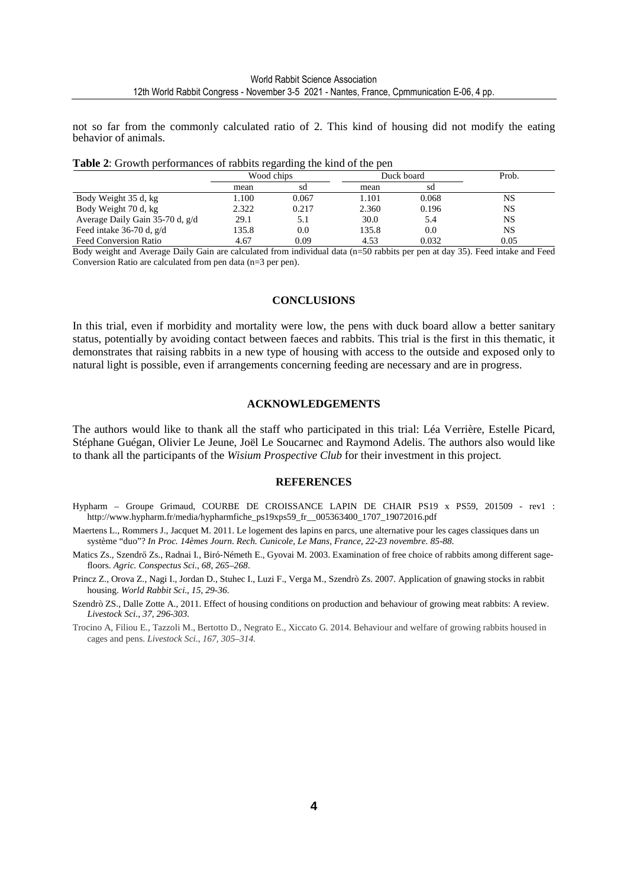not so far from the commonly calculated ratio of 2. This kind of housing did not modify the eating behavior of animals.

**Table 2**: Growth performances of rabbits regarding the kind of the pen

|                                 | Wood chips |       |       | Duck board | Prob.     |
|---------------------------------|------------|-------|-------|------------|-----------|
|                                 | mean       | sd    | mean  | sd         |           |
| Body Weight 35 d, kg            | 1.100      | 0.067 | 1.101 | 0.068      | NS        |
| Body Weight 70 d, kg            | 2.322      | 0.217 | 2.360 | 0.196      | <b>NS</b> |
| Average Daily Gain 35-70 d, g/d | 29.1       | 5.1   | 30.0  | 5.4        | <b>NS</b> |
| Feed intake $36-70$ d, $g/d$    | 135.8      | 0.0   | 135.8 | 0.0        | <b>NS</b> |
| <b>Feed Conversion Ratio</b>    | 4.67       | 0.09  | 4.53  | 0.032      | 0.05      |

Body weight and Average Daily Gain are calculated from individual data (n=50 rabbits per pen at day 35). Feed intake and Feed Conversion Ratio are calculated from pen data (n=3 per pen).

#### **CONCLUSIONS**

In this trial, even if morbidity and mortality were low, the pens with duck board allow a better sanitary status, potentially by avoiding contact between faeces and rabbits. This trial is the first in this thematic, it demonstrates that raising rabbits in a new type of housing with access to the outside and exposed only to natural light is possible, even if arrangements concerning feeding are necessary and are in progress.

#### **ACKNOWLEDGEMENTS**

The authors would like to thank all the staff who participated in this trial: Léa Verrière, Estelle Picard, Stéphane Guégan, Olivier Le Jeune, Joël Le Soucarnec and Raymond Adelis. The authors also would like to thank all the participants of the *Wisium Prospective Club* for their investment in this project.

#### **REFERENCES**

- Hypharm Groupe Grimaud, COURBE DE CROISSANCE LAPIN DE CHAIR PS19 x PS59, 201509 rev1 : http://www.hypharm.fr/media/hypharmfiche\_ps19xps59\_fr\_\_005363400\_1707\_19072016.pdf
- Maertens L., Rommers J., Jacquet M. 2011. Le logement des lapins en parcs, une alternative pour les cages classiques dans un système "duo"? *In Proc. 14èmes Journ. Rech. Cunicole, Le Mans, France, 22-23 novembre. 85-88.*
- Matics Zs., Szendrő Zs., Radnai I., Biró-Németh E., Gyovai M. 2003. Examination of free choice of rabbits among different sagefloors. *Agric. Conspectus Sci., 68, 265–268*.
- Princz Z., Orova Z., Nagi I., Jordan D., Stuhec I., Luzi F., Verga M., Szendrò Zs. 2007. Application of gnawing stocks in rabbit housing. *World Rabbit Sci*., *15, 29-36*.
- Szendrò ZS., Dalle Zotte A., 2011. Effect of housing conditions on production and behaviour of growing meat rabbits: A review. *Livestock Sci., 37, 296-303.*
- Trocino A, Filiou E., Tazzoli M., Bertotto D., Negrato E., Xiccato G. 2014. Behaviour and welfare of growing rabbits housed in cages and pens. *Livestock Sci.*, *167, 305–314.*